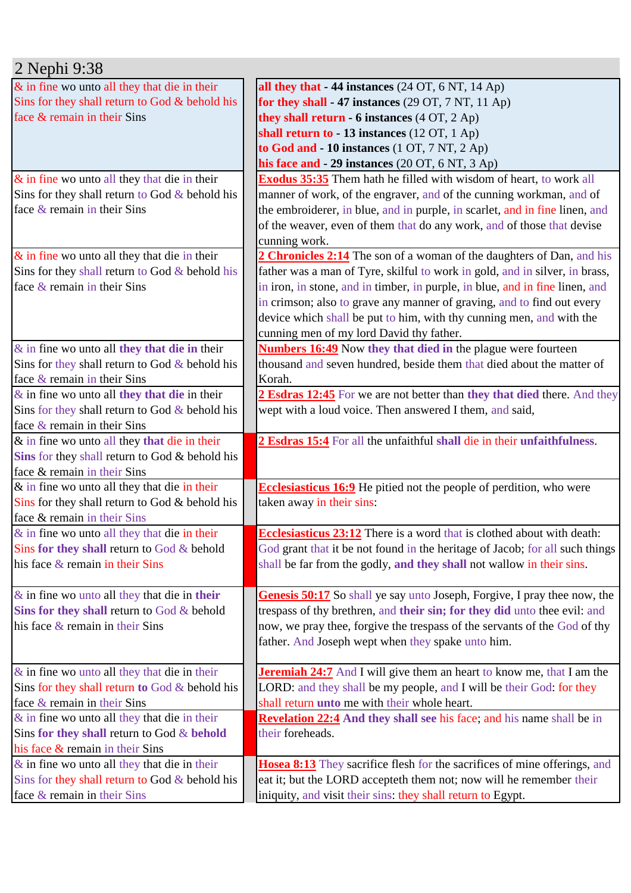| 2 Nephi 9:38                                     |                                                                               |
|--------------------------------------------------|-------------------------------------------------------------------------------|
| & in fine wo unto all they that die in their     | all they that $-44$ instances (24 OT, 6 NT, 14 Ap)                            |
| Sins for they shall return to God & behold his   | for they shall - 47 instances $(29 \text{ OT}, 7 \text{ NT}, 11 \text{ Ap})$  |
| face & remain in their Sins                      | they shall return - 6 instances (4 OT, 2 Ap)                                  |
|                                                  | shall return to - 13 instances $(12 OT, 1 Ap)$                                |
|                                                  | to God and - 10 instances (1 OT, 7 NT, 2 Ap)                                  |
|                                                  | his face and - 29 instances (20 OT, 6 NT, 3 Ap)                               |
| $\&$ in fine wo unto all they that die in their  | <b>Exodus 35:35</b> Them hath he filled with wisdom of heart, to work all     |
| Sins for they shall return to God $&$ behold his | manner of work, of the engraver, and of the cunning workman, and of           |
| face & remain in their Sins                      | the embroiderer, in blue, and in purple, in scarlet, and in fine linen, and   |
|                                                  | of the weaver, even of them that do any work, and of those that devise        |
|                                                  | cunning work.                                                                 |
| $\&$ in fine wo unto all they that die in their  | 2 Chronicles 2:14 The son of a woman of the daughters of Dan, and his         |
| Sins for they shall return to God & behold his   | father was a man of Tyre, skilful to work in gold, and in silver, in brass,   |
| face & remain in their Sins                      | in iron, in stone, and in timber, in purple, in blue, and in fine linen, and  |
|                                                  | in crimson; also to grave any manner of graving, and to find out every        |
|                                                  | device which shall be put to him, with thy cunning men, and with the          |
|                                                  | cunning men of my lord David thy father.                                      |
| $\&$ in fine wo unto all they that die in their  | <b>Numbers 16:49</b> Now they that died in the plague were fourteen           |
| Sins for they shall return to God $&$ behold his | thousand and seven hundred, beside them that died about the matter of         |
| face & remain in their Sins                      | Korah.                                                                        |
| $\&$ in fine wo unto all they that die in their  | 2 Esdras 12:45 For we are not better than they that died there. And they      |
| Sins for they shall return to God $&$ behold his | wept with a loud voice. Then answered I them, and said,                       |
| face $\&$ remain in their Sins                   |                                                                               |
| & in fine wo unto all they that die in their     | 2 Esdras 15:4 For all the unfaithful shall die in their unfaithfulness.       |
| Sins for they shall return to God & behold his   |                                                                               |
| face & remain in their Sins                      |                                                                               |
| & in fine wo unto all they that die in their     | <b>Ecclesiasticus 16:9</b> He pitied not the people of perdition, who were    |
| Sins for they shall return to God & behold his   | taken away in their sins:                                                     |
| face & remain in their Sins                      |                                                                               |
| $\&$ in fine wo unto all they that die in their  | <b>Ecclesiasticus 23:12</b> There is a word that is clothed about with death: |
| Sins for they shall return to God $&$ behold     | God grant that it be not found in the heritage of Jacob; for all such things  |
| his face & remain in their Sins                  | shall be far from the godly, and they shall not wallow in their sins.         |
|                                                  |                                                                               |
| $\&$ in fine wo unto all they that die in their  | Genesis 50:17 So shall ye say unto Joseph, Forgive, I pray thee now, the      |
| Sins for they shall return to God $\&$ behold    | trespass of thy brethren, and their sin; for they did unto thee evil: and     |
| his face & remain in their Sins                  | now, we pray thee, forgive the trespass of the servants of the God of thy     |
|                                                  | father. And Joseph wept when they spake unto him.                             |
|                                                  |                                                                               |
| $\&$ in fine wo unto all they that die in their  | <b>Jeremiah 24:7</b> And I will give them an heart to know me, that I am the  |
| Sins for they shall return to God & behold his   | LORD: and they shall be my people, and I will be their God: for they          |
| face & remain in their Sins                      | shall return unto me with their whole heart.                                  |
| $\&$ in fine wo unto all they that die in their  | <b>Revelation 22:4</b> And they shall see his face; and his name shall be in  |
| Sins for they shall return to God & behold       | their foreheads.                                                              |
| his face & remain in their Sins                  |                                                                               |
| $\&$ in fine wo unto all they that die in their  | Hosea 8:13 They sacrifice flesh for the sacrifices of mine offerings, and     |
| Sins for they shall return to God & behold his   | eat it; but the LORD accepteth them not; now will he remember their           |
|                                                  |                                                                               |